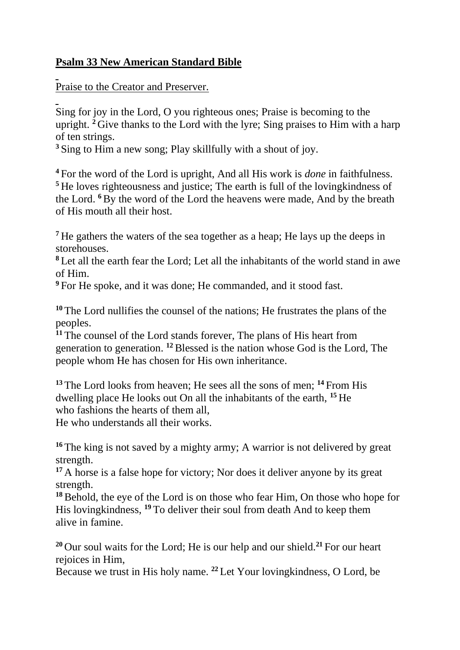## **Psalm 33 New American Standard Bible**

Praise to the Creator and Preserver.

Sing for joy in the Lord, O you righteous ones; Praise is becoming to the upright. <sup>2</sup> Give thanks to the Lord with the lyre; Sing praises to Him with a harp of ten strings.

**<sup>3</sup>** Sing to Him a new song; Play skillfully with a shout of joy.

**<sup>4</sup>** For the word of the Lord is upright, And all His work is *done* in faithfulness. **<sup>5</sup>** He loves righteousness and justice; The earth is full of the lovingkindness of the Lord. **<sup>6</sup>**By the word of the Lord the heavens were made, And by the breath of His mouth all their host.

**<sup>7</sup>** He gathers the waters of the sea together as a heap; He lays up the deeps in storehouses.

**<sup>8</sup>** Let all the earth fear the Lord; Let all the inhabitants of the world stand in awe of Him.

**<sup>9</sup>** For He spoke, and it was done; He commanded, and it stood fast.

**<sup>10</sup>** The Lord nullifies the counsel of the nations; He frustrates the plans of the peoples.

<sup>11</sup> The counsel of the Lord stands forever, The plans of His heart from generation to generation. **<sup>12</sup>**Blessed is the nation whose God is the Lord, The people whom He has chosen for His own inheritance.

**<sup>13</sup>** The Lord looks from heaven; He sees all the sons of men; **<sup>14</sup>** From His dwelling place He looks out On all the inhabitants of the earth, **<sup>15</sup>** He who fashions the hearts of them all,

He who understands all their works.

**<sup>16</sup>** The king is not saved by a mighty army; A warrior is not delivered by great strength.

<sup>17</sup> A horse is a false hope for victory; Nor does it deliver anyone by its great strength.

**<sup>18</sup>**Behold, the eye of the Lord is on those who fear Him, On those who hope for His lovingkindness, **<sup>19</sup>** To deliver their soul from death And to keep them alive in famine.

**<sup>20</sup>** Our soul waits for the Lord; He is our help and our shield.**<sup>21</sup>** For our heart rejoices in Him,

Because we trust in His holy name. **<sup>22</sup>** Let Your lovingkindness, O Lord, be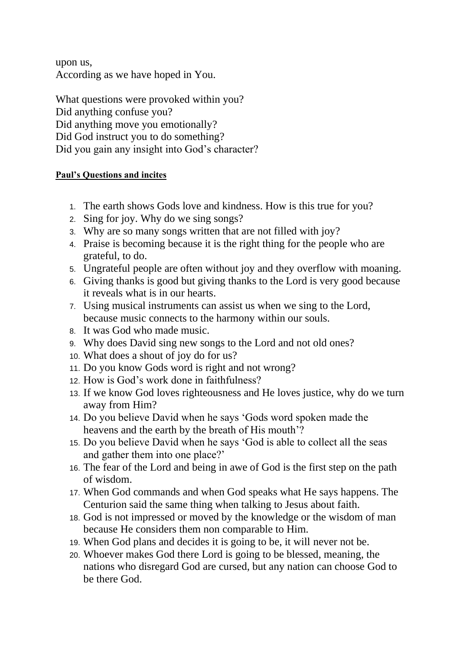upon us, According as we have hoped in You.

What questions were provoked within you? Did anything confuse you? Did anything move you emotionally? Did God instruct you to do something? Did you gain any insight into God's character?

## **Paul's Questions and incites**

- 1. The earth shows Gods love and kindness. How is this true for you?
- 2. Sing for joy. Why do we sing songs?
- 3. Why are so many songs written that are not filled with joy?
- 4. Praise is becoming because it is the right thing for the people who are grateful, to do.
- 5. Ungrateful people are often without joy and they overflow with moaning.
- 6. Giving thanks is good but giving thanks to the Lord is very good because it reveals what is in our hearts.
- 7. Using musical instruments can assist us when we sing to the Lord, because music connects to the harmony within our souls.
- 8. It was God who made music.
- 9. Why does David sing new songs to the Lord and not old ones?
- 10. What does a shout of joy do for us?
- 11. Do you know Gods word is right and not wrong?
- 12. How is God's work done in faithfulness?
- 13. If we know God loves righteousness and He loves justice, why do we turn away from Him?
- 14. Do you believe David when he says 'Gods word spoken made the heavens and the earth by the breath of His mouth'?
- 15. Do you believe David when he says 'God is able to collect all the seas and gather them into one place?'
- 16. The fear of the Lord and being in awe of God is the first step on the path of wisdom.
- 17. When God commands and when God speaks what He says happens. The Centurion said the same thing when talking to Jesus about faith.
- 18. God is not impressed or moved by the knowledge or the wisdom of man because He considers them non comparable to Him.
- 19. When God plans and decides it is going to be, it will never not be.
- 20. Whoever makes God there Lord is going to be blessed, meaning, the nations who disregard God are cursed, but any nation can choose God to be there God.